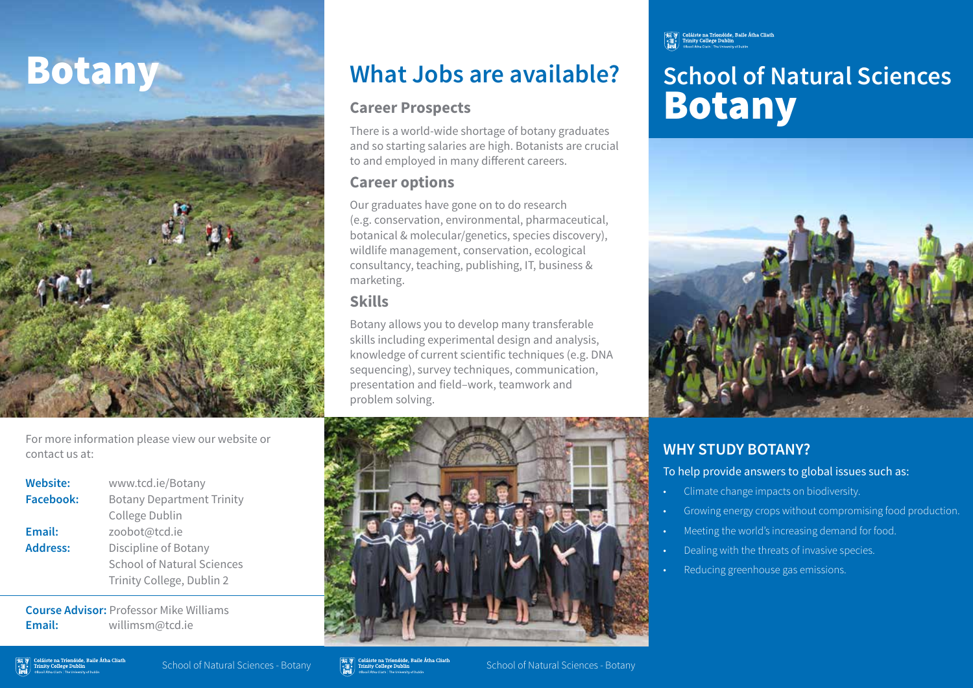

# **Botany What Jobs are available?**

### **Career Prospects**

There is a world-wide shortage of botany graduates and so starting salaries are high. Botanists are crucial to and employed in many different careers.

## **Career options**

Our graduates have gone on to do research (e.g. conservation, environmental, pharmaceutical, botanical & molecular/genetics, species discovery), wildlife management, conservation, ecological consultancy, teaching, publishing, IT, business & marketing.

# **Skills**

Botany allows you to develop many transferable skills including experimental design and analysis, knowledge of current scientific techniques (e.g. DNA sequencing), survey techniques, communication, presentation and field–work, teamwork and problem solving.



# **School of Natural Sciences** Botany



# **WHY STUDY BOTANY?**

To help provide answers to global issues such as:

- Climate change impacts on biodiversity.
- Growing energy crops without compromising food production.
- Meeting the world's increasing demand for food.
- Dealing with the threats of invasive species.
- Reducing greenhouse gas emissions.

For more information please view our website or contact us at:

# **Website:** www.tcd.ie/Botany

**Facebook:** Botany Department Trinity College Dublin **Email:** zoobot@tcd.ie **Address:** Discipline of Botany School of Natural Sciences Trinity College, Dublin 2

**Course Advisor:** Professor Mike Williams **Email:** willimsm@tcd.ie

School of Natural Sciences - Botany School of Natural Sciences - Botany School of Natural Sciences - Botany